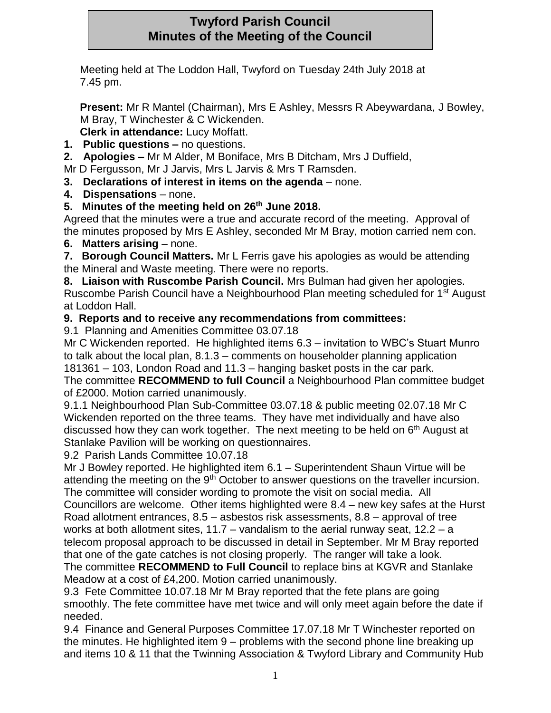## **Twyford Parish Council Minutes of the Meeting of the Council**

Meeting held at The Loddon Hall, Twyford on Tuesday 24th July 2018 at 7.45 pm.

**Present:** Mr R Mantel (Chairman), Mrs E Ashley, Messrs R Abeywardana, J Bowley, M Bray, T Winchester & C Wickenden.

- **Clerk in attendance:** Lucy Moffatt.
- **1. Public questions –** no questions.
- **2. Apologies –** Mr M Alder, M Boniface, Mrs B Ditcham, Mrs J Duffield,

Mr D Fergusson, Mr J Jarvis, Mrs L Jarvis & Mrs T Ramsden.

- **3. Declarations of interest in items on the agenda** none.
- **4. Dispensations** none.
- **5. Minutes of the meeting held on 26th June 2018.**

Agreed that the minutes were a true and accurate record of the meeting. Approval of the minutes proposed by Mrs E Ashley, seconded Mr M Bray, motion carried nem con.

**6. Matters arising** – none.

**7. Borough Council Matters.** Mr L Ferris gave his apologies as would be attending the Mineral and Waste meeting. There were no reports.

**8. Liaison with Ruscombe Parish Council.** Mrs Bulman had given her apologies. Ruscombe Parish Council have a Neighbourhood Plan meeting scheduled for 1st August at Loddon Hall.

**9. Reports and to receive any recommendations from committees:**

9.1 Planning and Amenities Committee 03.07.18

Mr C Wickenden reported. He highlighted items 6.3 – invitation to WBC's Stuart Munro to talk about the local plan, 8.1.3 – comments on householder planning application 181361 – 103, London Road and 11.3 – hanging basket posts in the car park.

The committee **RECOMMEND to full Council** a Neighbourhood Plan committee budget of £2000. Motion carried unanimously.

9.1.1 Neighbourhood Plan Sub-Committee 03.07.18 & public meeting 02.07.18 Mr C Wickenden reported on the three teams. They have met individually and have also discussed how they can work together. The next meeting to be held on  $6<sup>th</sup>$  August at Stanlake Pavilion will be working on questionnaires.

9.2 Parish Lands Committee 10.07.18

Mr J Bowley reported. He highlighted item 6.1 – Superintendent Shaun Virtue will be attending the meeting on the  $9<sup>th</sup>$  October to answer questions on the traveller incursion.

The committee will consider wording to promote the visit on social media. All Councillors are welcome. Other items highlighted were 8.4 – new key safes at the Hurst Road allotment entrances, 8.5 – asbestos risk assessments, 8.8 – approval of tree works at both allotment sites, 11.7 – vandalism to the aerial runway seat, 12.2 – a telecom proposal approach to be discussed in detail in September. Mr M Bray reported that one of the gate catches is not closing properly. The ranger will take a look. The committee **RECOMMEND to Full Council** to replace bins at KGVR and Stanlake Meadow at a cost of £4,200. Motion carried unanimously.

9.3 Fete Committee 10.07.18 Mr M Bray reported that the fete plans are going smoothly. The fete committee have met twice and will only meet again before the date if needed.

9.4 Finance and General Purposes Committee 17.07.18 Mr T Winchester reported on the minutes. He highlighted item 9 – problems with the second phone line breaking up and items 10 & 11 that the Twinning Association & Twyford Library and Community Hub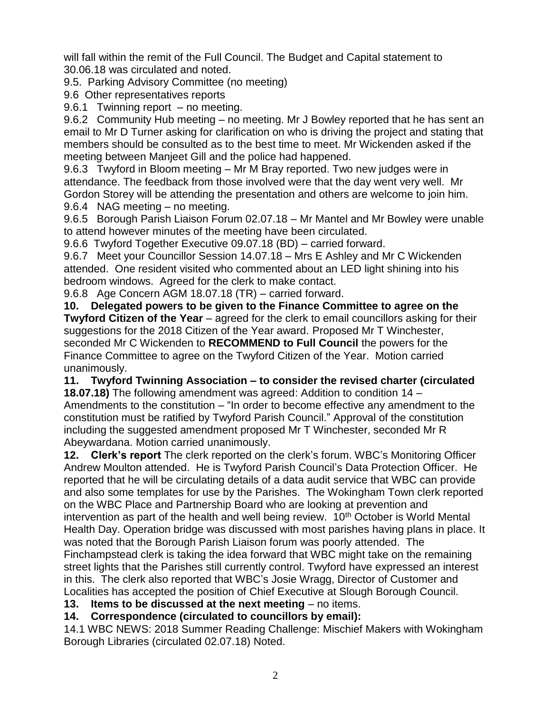will fall within the remit of the Full Council. The Budget and Capital statement to 30.06.18 was circulated and noted.

9.5. Parking Advisory Committee (no meeting)

9.6 Other representatives reports

9.6.1 Twinning report – no meeting.

9.6.2 Community Hub meeting – no meeting. Mr J Bowley reported that he has sent an email to Mr D Turner asking for clarification on who is driving the project and stating that members should be consulted as to the best time to meet. Mr Wickenden asked if the meeting between Manjeet Gill and the police had happened.

9.6.3 Twyford in Bloom meeting – Mr M Bray reported. Two new judges were in attendance. The feedback from those involved were that the day went very well. Mr Gordon Storey will be attending the presentation and others are welcome to join him. 9.6.4 NAG meeting – no meeting.

9.6.5 Borough Parish Liaison Forum 02.07.18 – Mr Mantel and Mr Bowley were unable to attend however minutes of the meeting have been circulated.

9.6.6 Twyford Together Executive 09.07.18 (BD) – carried forward.

9.6.7 Meet your Councillor Session 14.07.18 – Mrs E Ashley and Mr C Wickenden attended. One resident visited who commented about an LED light shining into his bedroom windows. Agreed for the clerk to make contact.

9.6.8 Age Concern AGM 18.07.18 (TR) – carried forward.

**10. Delegated powers to be given to the Finance Committee to agree on the Twyford Citizen of the Year** – agreed for the clerk to email councillors asking for their suggestions for the 2018 Citizen of the Year award. Proposed Mr T Winchester, seconded Mr C Wickenden to **RECOMMEND to Full Council** the powers for the Finance Committee to agree on the Twyford Citizen of the Year. Motion carried unanimously.

**11. Twyford Twinning Association – to consider the revised charter (circulated 18.07.18)** The following amendment was agreed: Addition to condition 14 – Amendments to the constitution – "In order to become effective any amendment to the constitution must be ratified by Twyford Parish Council." Approval of the constitution including the suggested amendment proposed Mr T Winchester, seconded Mr R Abeywardana. Motion carried unanimously.

**12. Clerk's report** The clerk reported on the clerk's forum. WBC's Monitoring Officer Andrew Moulton attended. He is Twyford Parish Council's Data Protection Officer. He reported that he will be circulating details of a data audit service that WBC can provide and also some templates for use by the Parishes. The Wokingham Town clerk reported on the WBC Place and Partnership Board who are looking at prevention and intervention as part of the health and well being review.  $10<sup>th</sup>$  October is World Mental Health Day. Operation bridge was discussed with most parishes having plans in place. It was noted that the Borough Parish Liaison forum was poorly attended. The Finchampstead clerk is taking the idea forward that WBC might take on the remaining street lights that the Parishes still currently control. Twyford have expressed an interest in this. The clerk also reported that WBC's Josie Wragg, Director of Customer and Localities has accepted the position of Chief Executive at Slough Borough Council.

**13.** Items to be discussed at the next meeting – no items.

**14. Correspondence (circulated to councillors by email):**

14.1 WBC NEWS: 2018 Summer Reading Challenge: Mischief Makers with Wokingham Borough Libraries (circulated 02.07.18) Noted.